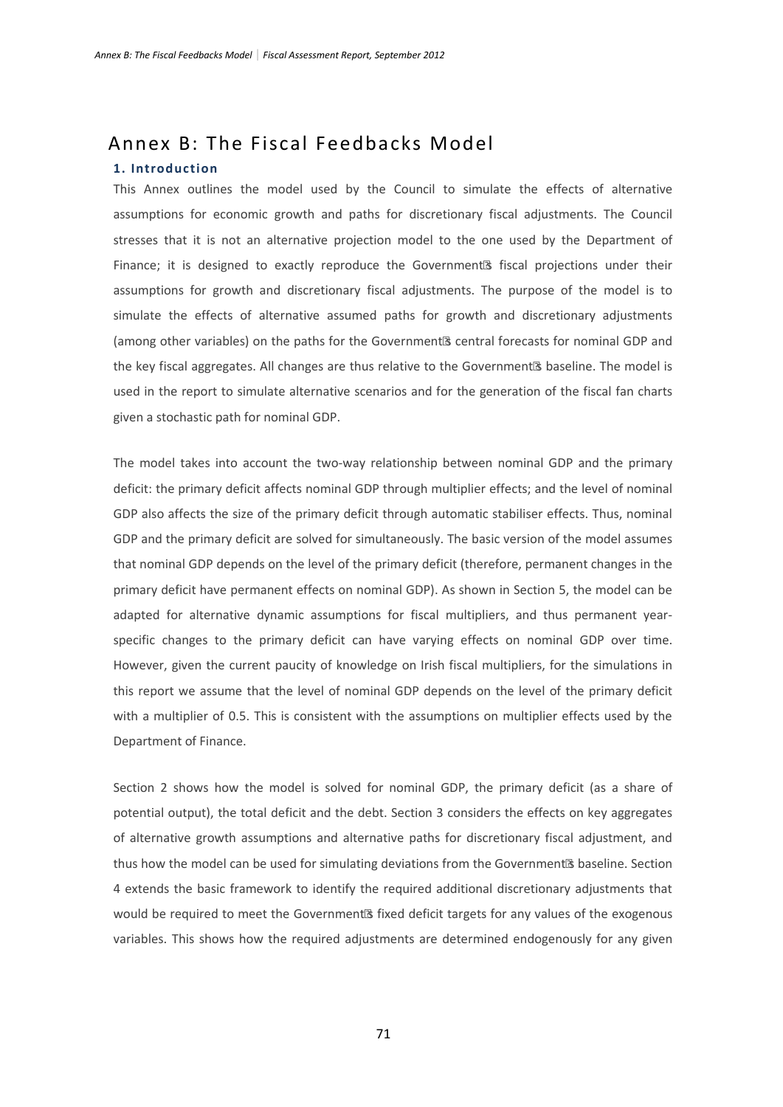# Annex B: The Fiscal Feedbacks Model **1. Introduction**

This Annex outlines the model used by the Council to simulate the effects of alternative assumptions for economic growth and paths for discretionary fiscal adjustments. The Council stresses that it is not an alternative projection model to the one used by the Department of Finance; it is designed to exactly reproduce the Government's fiscal projections under their assumptions for growth and discretionary fiscal adjustments. The purpose of the model is to simulate the effects of alternative assumed paths for growth and discretionary adjustments (among other variables) on the paths for the Government's central forecasts for nominal GDP and the key fiscal aggregates. All changes are thus relative to the Government's baseline. The model is used in the report to simulate alternative scenarios and for the generation of the fiscal fan charts given a stochastic path for nominal GDP.

The model takes into account the two-way relationship between nominal GDP and the primary deficit: the primary deficit affects nominal GDP through multiplier effects; and the level of nominal GDP also affects the size of the primary deficit through automatic stabiliser effects. Thus, nominal GDP and the primary deficit are solved for simultaneously. The basic version of the model assumes that nominal GDP depends on the level of the primary deficit (therefore, permanent changes in the primary deficit have permanent effects on nominal GDP). As shown in Section 5, the model can be adapted for alternative dynamic assumptions for fiscal multipliers, and thus permanent yearspecific changes to the primary deficit can have varying effects on nominal GDP over time. However, given the current paucity of knowledge on Irish fiscal multipliers, for the simulations in this report we assume that the level of nominal GDP depends on the level of the primary deficit with a multiplier of 0.5. This is consistent with the assumptions on multiplier effects used by the Department of Finance.

<span id="page-0-0"></span>Section 2 shows how the model is solved for nominal GDP, the primary deficit (as a share of potential output), the total deficit and the debt. Section 3 considers the effects on key aggregates of alternative growth assumptions and alternative paths for discretionary fiscal adjustment, and thus how the model can be used for simulating deviations from the Government's baseline. Section 4 extends the basic framework to identify the required additional discretionary adjustments that would be required to meet the Government's fixed deficit targets for any values of the exogenous variables. This shows how the required adjustments are determined endogenously for any given

71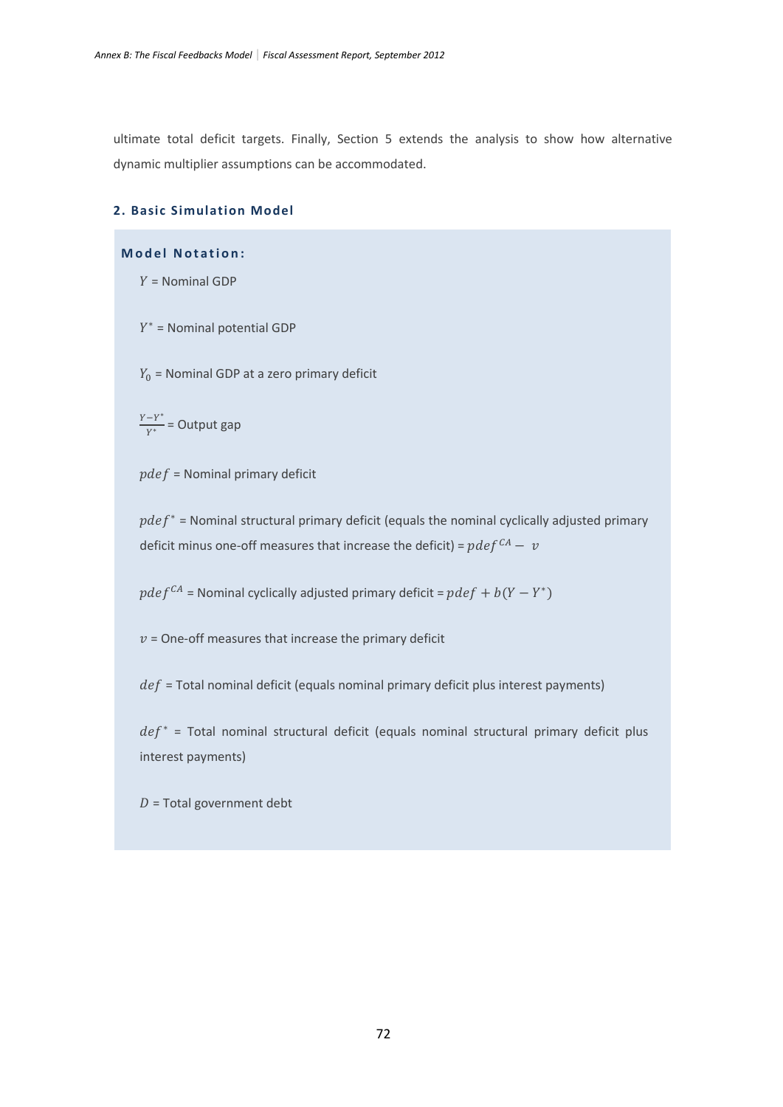ultimate total deficit targets. Finally, Section 5 extends the analysis to show how alternative dynamic multiplier assumptions can be accommodated.

## **2. Basic Simulation Model**

# **Model Notation:**

 $Y =$  Nominal GDP

 $Y^*$  = Nominal potential GDP

 $Y_0$  = Nominal GDP at a zero primary deficit

 $\frac{Y-Y^*}{Y^*}$  = Output gap

 $pdef =$  Nominal primary deficit

 $pdef^*$  = Nominal structural primary deficit (equals the nominal cyclically adjusted primary deficit minus one-off measures that increase the deficit) =  $pdef^{CA} - v$ 

 $pdef^{CA}$  = Nominal cyclically adjusted primary deficit =  $pdef + b(Y - Y^*)$ 

 $v =$  One-off measures that increase the primary deficit

 $def$  = Total nominal deficit (equals nominal primary deficit plus interest payments)

 $def^*$  = Total nominal structural deficit (equals nominal structural primary deficit plus interest payments)

 $D =$ Total government debt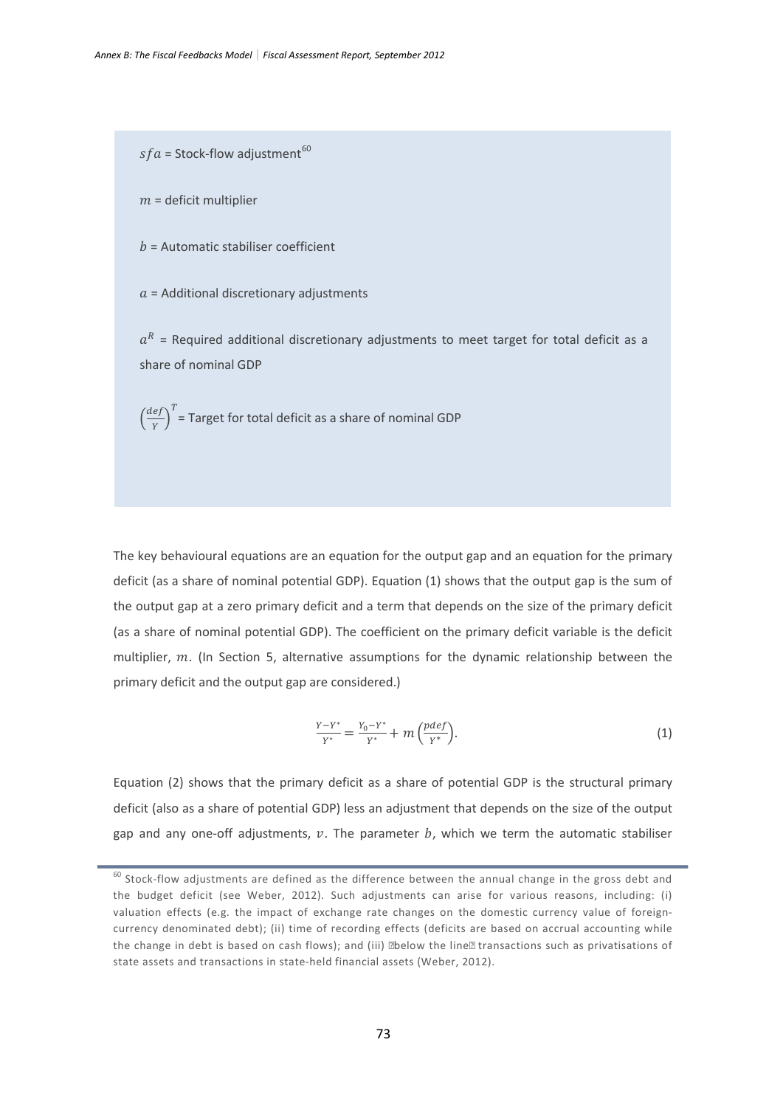$sfa =$  Stock-flow adjustment<sup>[60](#page-0-0)</sup>

 $m =$  deficit multiplier

 $b =$  Automatic stabiliser coefficient

 $a$  = Additional discretionary adjustments

 $a<sup>R</sup>$  = Required additional discretionary adjustments to meet target for total deficit as a share of nominal GDP

 $\left(\frac{def}{Y}\right)^{T}$  = Target for total deficit as a share of nominal GDP

The key behavioural equations are an equation for the output gap and an equation for the primary deficit (as a share of nominal potential GDP). Equation (1) shows that the output gap is the sum of the output gap at a zero primary deficit and a term that depends on the size of the primary deficit (as a share of nominal potential GDP). The coefficient on the primary deficit variable is the deficit multiplier,  $m$ . (In Section 5, alternative assumptions for the dynamic relationship between the primary deficit and the output gap are considered.)

$$
\frac{Y-Y^*}{Y^*} = \frac{Y_0 - Y^*}{Y^*} + m\left(\frac{pdef}{Y^*}\right). \tag{1}
$$

Equation (2) shows that the primary deficit as a share of potential GDP is the structural primary deficit (also as a share of potential GDP) less an adjustment that depends on the size of the output gap and any one-off adjustments,  $v$ . The parameter  $b$ , which we term the automatic stabiliser

 $60$  Stock-flow adjustments are defined as the difference between the annual change in the gross debt and the budget deficit (see Weber, 2012). Such adjustments can arise for various reasons, including: (i) valuation effects (e.g. the impact of exchange rate changes on the domestic currency value of foreigncurrency denominated debt); (ii) time of recording effects (deficits are based on accrual accounting while the change in debt is based on cash flows); and (iii) "below the line" transactions such as privatisations of state assets and transactions in state-held financial assets (Weber, 2012).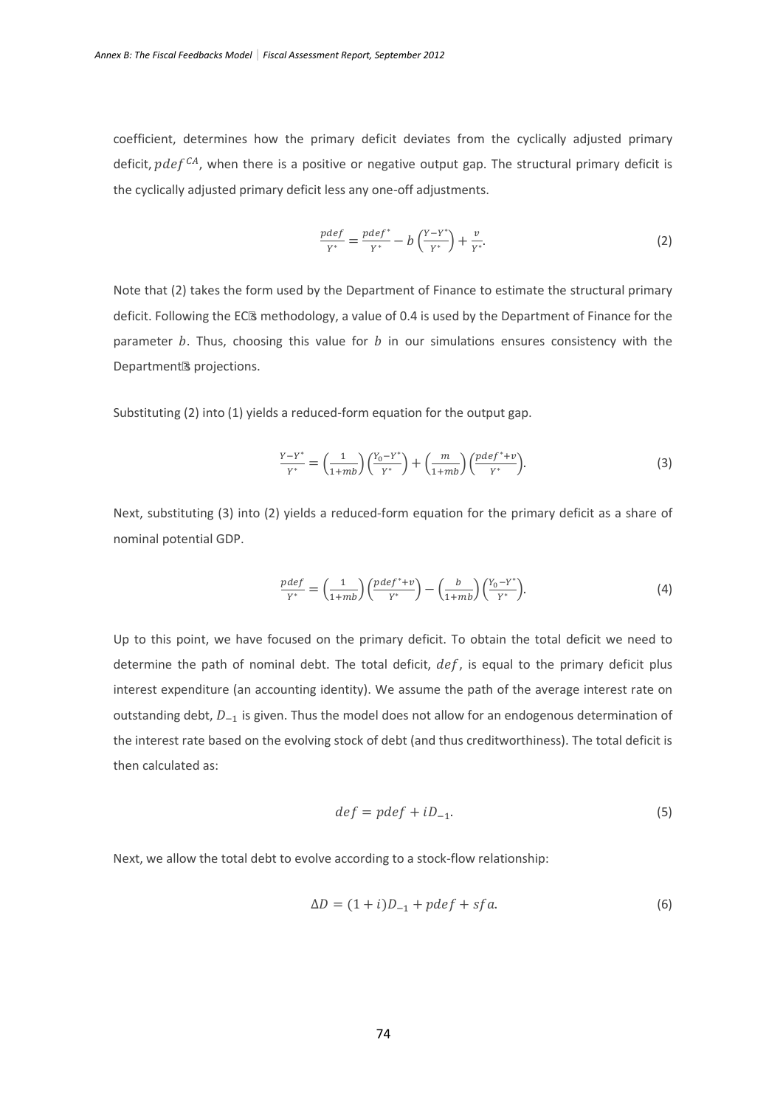coefficient, determines how the primary deficit deviates from the cyclically adjusted primary deficit,  $pdef^{CA}$ , when there is a positive or negative output gap. The structural primary deficit is the cyclically adjusted primary deficit less any one-off adjustments.

$$
\frac{pdef}{Y^*} = \frac{pdef^*}{Y^*} - b\left(\frac{Y - Y^*}{Y^*}\right) + \frac{v}{Y^*}.
$$
 (2)

Note that (2) takes the form used by the Department of Finance to estimate the structural primary deficit. Following the EC's methodology, a value of 0.4 is used by the Department of Finance for the parameter  $b$ . Thus, choosing this value for  $b$  in our simulations ensures consistency with the Department's projections.

Substituting (2) into (1) yields a reduced-form equation for the output gap.

$$
\frac{Y-Y^*}{Y^*} = \left(\frac{1}{1+mb}\right) \left(\frac{Y_0-Y^*}{Y^*}\right) + \left(\frac{m}{1+mb}\right) \left(\frac{pdef^*+v}{Y^*}\right). \tag{3}
$$

Next, substituting (3) into (2) yields a reduced-form equation for the primary deficit as a share of nominal potential GDP.

$$
\frac{pdef}{Y^*} = \left(\frac{1}{1+mb}\right) \left(\frac{pdef^*+v}{Y^*}\right) - \left(\frac{b}{1+mb}\right) \left(\frac{Y_0 - Y^*}{Y^*}\right). \tag{4}
$$

Up to this point, we have focused on the primary deficit. To obtain the total deficit we need to determine the path of nominal debt. The total deficit,  $def$ , is equal to the primary deficit plus interest expenditure (an accounting identity). We assume the path of the average interest rate on outstanding debt,  $D_{-1}$  is given. Thus the model does not allow for an endogenous determination of the interest rate based on the evolving stock of debt (and thus creditworthiness). The total deficit is then calculated as:

$$
def = pdef + iD_{-1}.
$$
 (5)

Next, we allow the total debt to evolve according to a stock-flow relationship:

$$
\Delta D = (1 + i)D_{-1} + pdef + sfa. \tag{6}
$$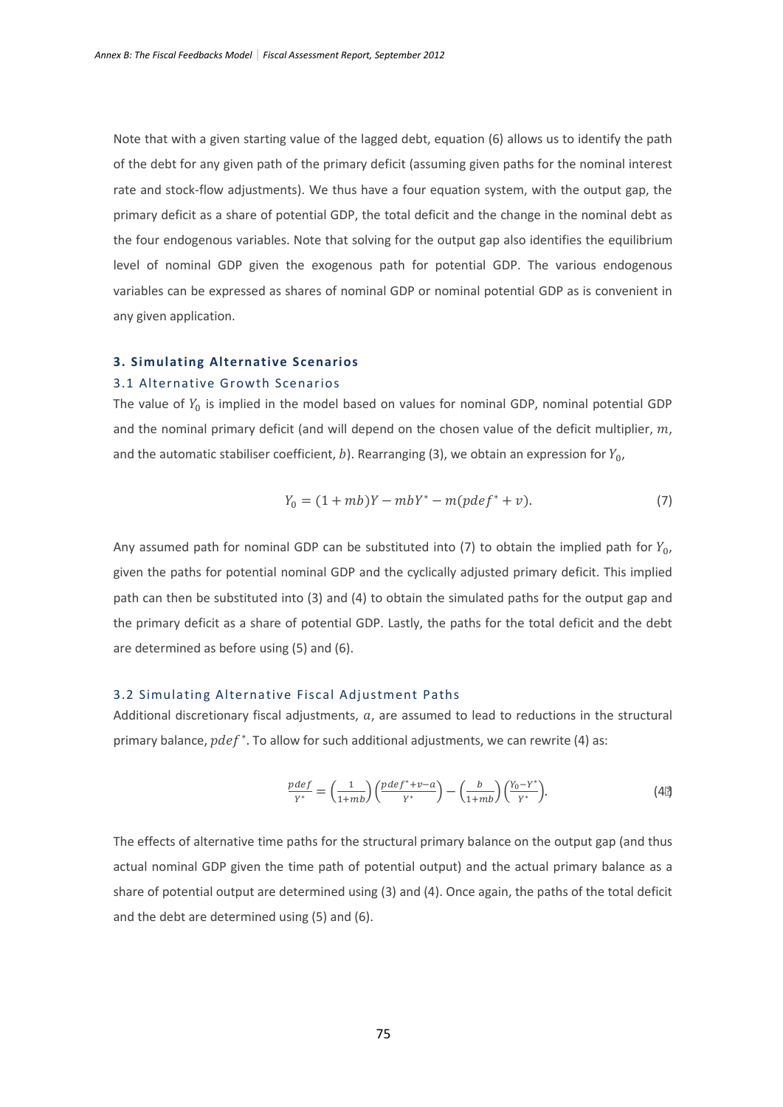Note that with a given starting value of the lagged debt, equation (6) allows us to identify the path of the debt for any given path of the primary deficit (assuming given paths for the nominal interest rate and stock-flow adjustments). We thus have a four equation system, with the output gap, the primary deficit as a share of potential GDP, the total deficit and the change in the nominal debt as the four endogenous variables. Note that solving for the output gap also identifies the equilibrium level of nominal GDP given the exogenous path for potential GDP. The various endogenous variables can be expressed as shares of nominal GDP or nominal potential GDP as is convenient in any given application.

#### **3. Simulating Alternative Scenarios**

#### 3.1 Alternative Growth Scenarios

The value of  $Y_0$  is implied in the model based on values for nominal GDP, nominal potential GDP and the nominal primary deficit (and will depend on the chosen value of the deficit multiplier,  $m$ , and the automatic stabiliser coefficient, b). Rearranging (3), we obtain an expression for  $Y_{0}$ ,

$$
Y_0 = (1 + mb)Y - mbY^* - m(pdef^* + v).
$$
 (7)

Any assumed path for nominal GDP can be substituted into (7) to obtain the implied path for  $Y_{0}$ , given the paths for potential nominal GDP and the cyclically adjusted primary deficit. This implied path can then be substituted into (3) and (4) to obtain the simulated paths for the output gap and the primary deficit as a share of potential GDP. Lastly, the paths for the total deficit and the debt are determined as before using (5) and (6).

#### 3.2 Simulating Alternative Fiscal Adjustment Paths

Additional discretionary fiscal adjustments,  $a$ , are assumed to lead to reductions in the structural primary balance,  $pdef^*$ . To allow for such additional adjustments, we can rewrite (4) as:

$$
\frac{pdef}{Y^*} = \left(\frac{1}{1+mb}\right) \left(\frac{pdef^*+v-a}{Y^*}\right) - \left(\frac{b}{1+mb}\right) \left(\frac{Y_0 - Y^*}{Y^*}\right). \tag{4'}
$$

The effects of alternative time paths for the structural primary balance on the output gap (and thus actual nominal GDP given the time path of potential output) and the actual primary balance as a share of potential output are determined using (3) and (4). Once again, the paths of the total deficit and the debt are determined using (5) and (6).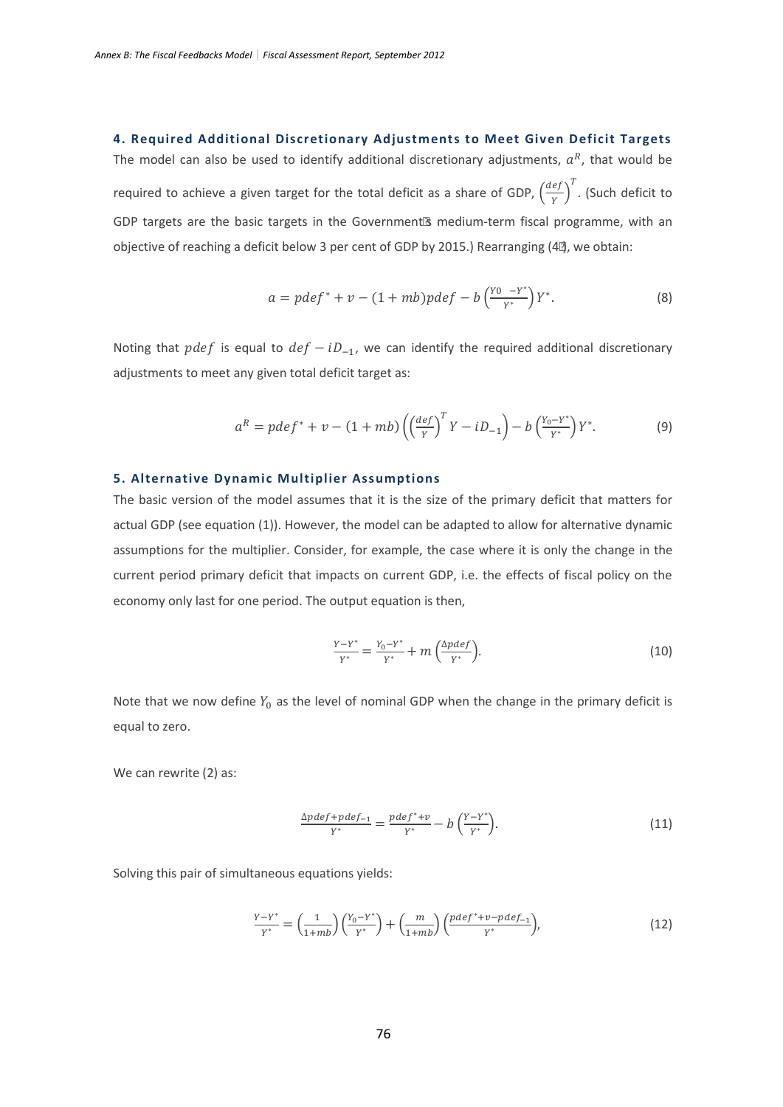## **4. Required Additional Discretionary Adjustments to Meet Given Deficit Targets**

The model can also be used to identify additional discretionary adjustments,  $a^R$ , that would be required to achieve a given target for the total deficit as a share of GDP,  $\left(\frac{def}{Y}\right)^T$ . (Such deficit to GDP targets are the basic targets in the Government's medium-term fiscal programme, with an objective of reaching a deficit below 3 per cent of GDP by 2015.) Rearranging (4'), we obtain:

$$
a = pdef^* + v - (1 + mb)pdef - b\left(\frac{Y0 - Y^*}{Y^*}\right)Y^*.
$$
 (8)

Noting that *pdef* is equal to  $def - iD_{-1}$ , we can identify the required additional discretionary adjustments to meet any given total deficit target as:

$$
a^{R} = pdef^{*} + v - (1 + mb) \left( \left( \frac{def}{Y} \right)^{T} Y - iD_{-1} \right) - b \left( \frac{Y_{0} - Y^{*}}{Y^{*}} \right) Y^{*}.
$$
 (9)

#### **5. Alternative Dynamic Multiplier Assumptions**

The basic version of the model assumes that it is the size of the primary deficit that matters for actual GDP (see equation (1)). However, the model can be adapted to allow for alternative dynamic assumptions for the multiplier. Consider, for example, the case where it is only the change in the current period primary deficit that impacts on current GDP, i.e. the effects of fiscal policy on the economy only last for one period. The output equation is then,

$$
\frac{Y - Y^*}{Y^*} = \frac{Y_0 - Y^*}{Y^*} + m\left(\frac{\Delta pdef}{Y^*}\right).
$$
 (10)

Note that we now define  $Y_0$  as the level of nominal GDP when the change in the primary deficit is equal to zero.

We can rewrite (2) as:

$$
\frac{\Delta pdef + pdef_{-1}}{Y^*} = \frac{pdef^* + v}{Y^*} - b\left(\frac{Y - Y^*}{Y^*}\right). \tag{11}
$$

Solving this pair of simultaneous equations yields:

$$
\frac{Y-Y^*}{Y^*} = \left(\frac{1}{1+mb}\right) \left(\frac{Y_0-Y^*}{Y^*}\right) + \left(\frac{m}{1+mb}\right) \left(\frac{pdef^*+v-pdef_{-1}}{Y^*}\right),\tag{12}
$$